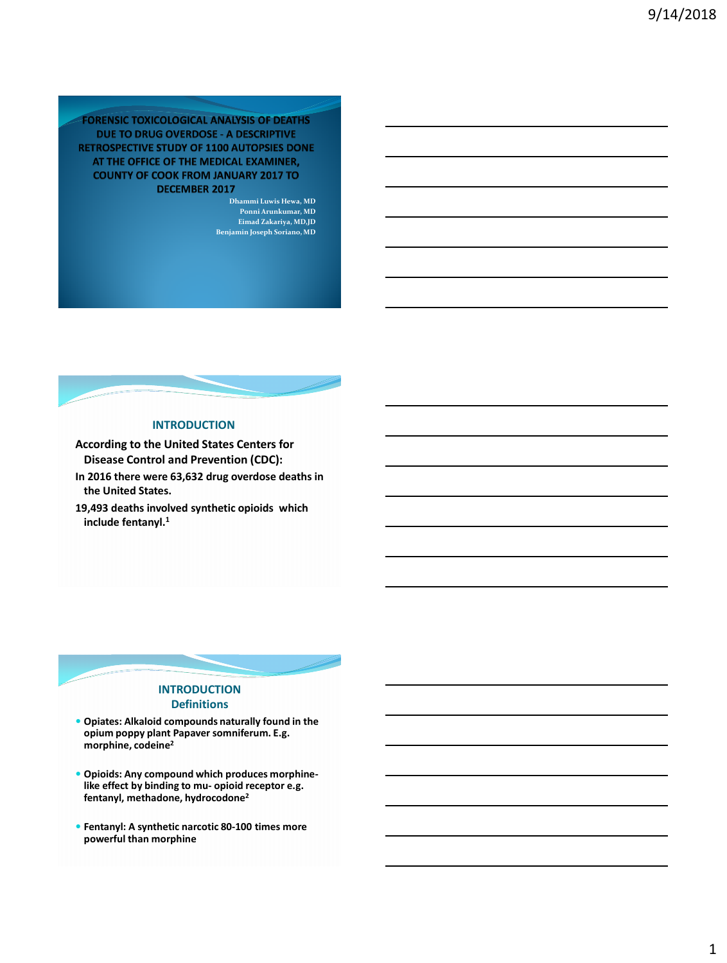# **FORENSIC TOXICOLOGICAL ANALYSIS OF DEATHS** DUE TO DRUG OVERDOSE - A DESCRIPTIVE **RETROSPECTIVE STUDY OF 1100 AUTOPSIES DONE** AT THE OFFICE OF THE MEDICAL EXAMINER, **COUNTY OF COOK FROM JANUARY 2017 TO DECEMBER 2017**

**Dhammi Luwis Hewa, MD Ponni Arunkumar, MD Eimad Zakariya, MD,JD Benjamin Joseph Soriano, MD**



# **INTRODUCTION**

**According to the United States Centers for Disease Control and Prevention (CDC):**

- **In 2016 there were 63,632 drug overdose deaths in the United States.**
- **19,493 deaths involved synthetic opioids which include fentanyl.<sup>1</sup>**



- **Opiates: Alkaloid compounds naturally found in the opium poppy plant Papaver somniferum. E.g. morphine, codeine<sup>2</sup>**
- **Opioids: Any compound which produces morphinelike effect by binding to mu- opioid receptor e.g. fentanyl, methadone, hydrocodone<sup>2</sup>**
- **Fentanyl: A synthetic narcotic 80-100 times more powerful than morphine**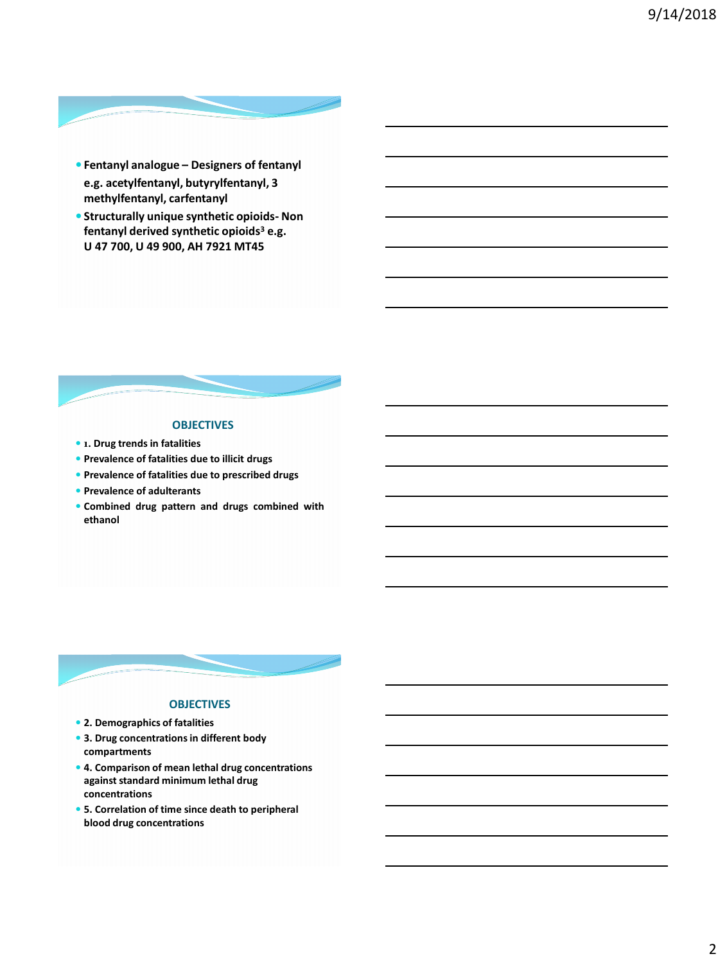

- **Fentanyl analogue – Designers of fentanyl e.g. acetylfentanyl, butyrylfentanyl, 3 methylfentanyl, carfentanyl**
- **Structurally unique synthetic opioids- Non fentanyl derived synthetic opioids<sup>3</sup> e.g. U 47 700, U 49 900, AH 7921 MT45**



# **OBJECTIVES**

- **1. Drug trends in fatalities**
- **Prevalence of fatalities due to illicit drugs**
- **Prevalence of fatalities due to prescribed drugs**
- **Prevalence of adulterants**
- **Combined drug pattern and drugs combined with ethanol**



# **OBJECTIVES**

- **2. Demographics of fatalities**
- **3. Drug concentrations in different body compartments**
- **4. Comparison of mean lethal drug concentrations against standard minimum lethal drug concentrations**
- **5. Correlation of time since death to peripheral blood drug concentrations**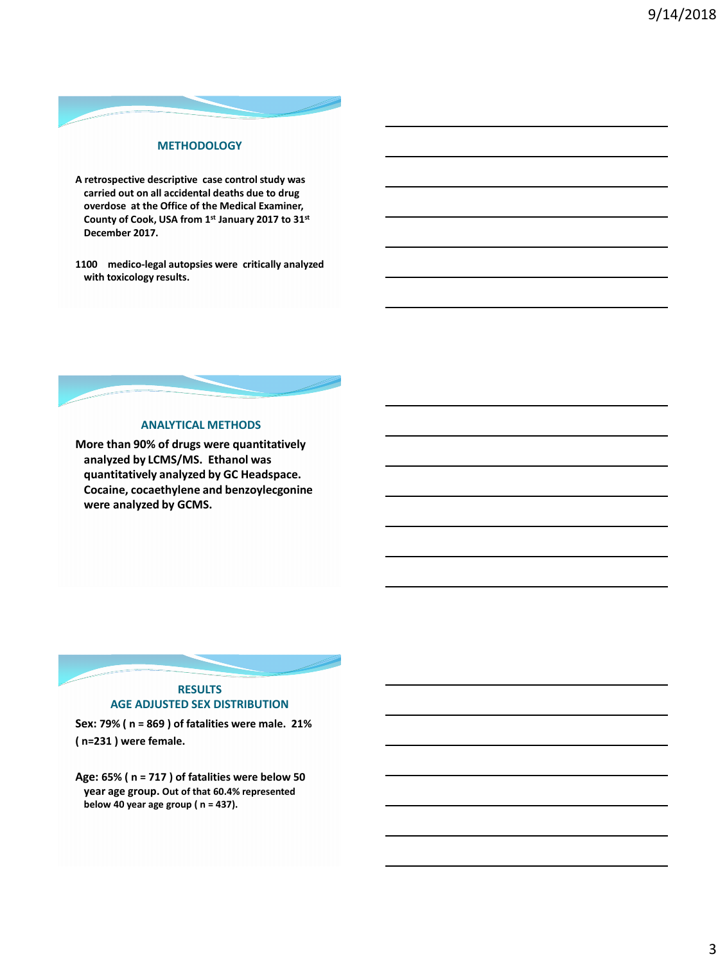

# **A retrospective descriptive case control study was carried out on all accidental deaths due to drug overdose at the Office of the Medical Examiner, County of Cook, USA from 1st January 2017 to 31st December 2017.**

**1100 medico-legal autopsies were critically analyzed with toxicology results.**



**More than 90% of drugs were quantitatively analyzed by LCMS/MS. Ethanol was quantitatively analyzed by GC Headspace. Cocaine, cocaethylene and benzoylecgonine were analyzed by GCMS.**



**Sex: 79% ( n = 869 ) of fatalities were male. 21% ( n=231 ) were female.** 

**Age: 65% ( n = 717 ) of fatalities were below 50 year age group. Out of that 60.4% represented below 40 year age group ( n = 437).**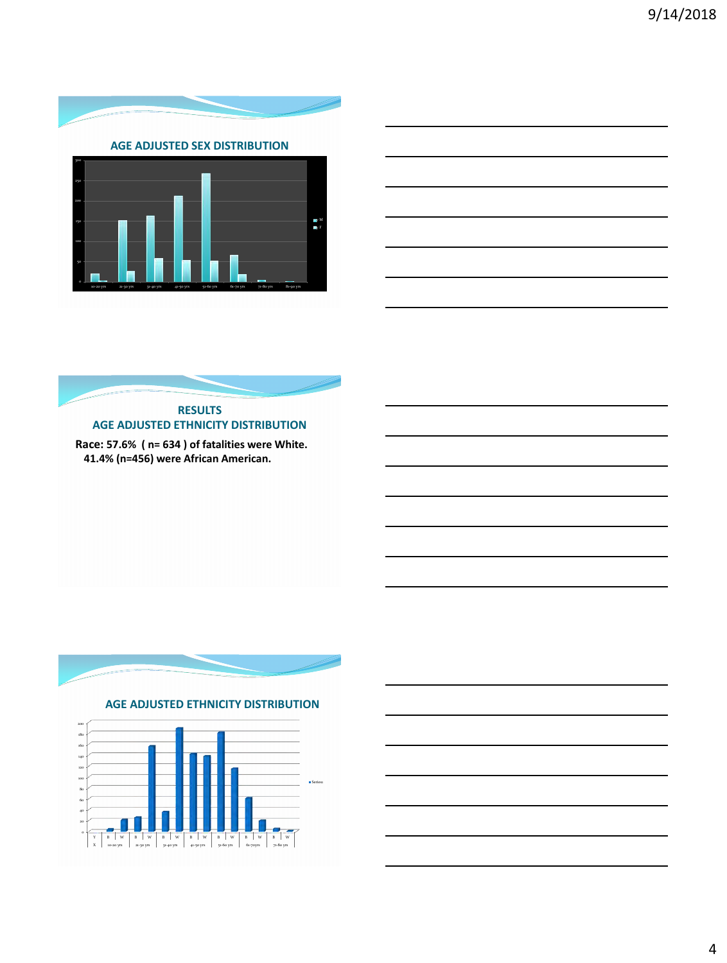

|   | $\overline{\phantom{a}}$                                    |  |  |  |
|---|-------------------------------------------------------------|--|--|--|
|   |                                                             |  |  |  |
| ۰ | the control of the control of the control of the control of |  |  |  |
|   |                                                             |  |  |  |
|   | ______                                                      |  |  |  |
|   |                                                             |  |  |  |
|   |                                                             |  |  |  |
|   |                                                             |  |  |  |
|   |                                                             |  |  |  |

# **RESULTS AGE ADJUSTED ETHNICITY DISTRIBUTION**

**Race: 57.6% ( n= 634 ) of fatalities were White. 41.4% (n=456) were African American.** 



 **AGE ADJUSTED ETHNICITY DISTRIBUTION**



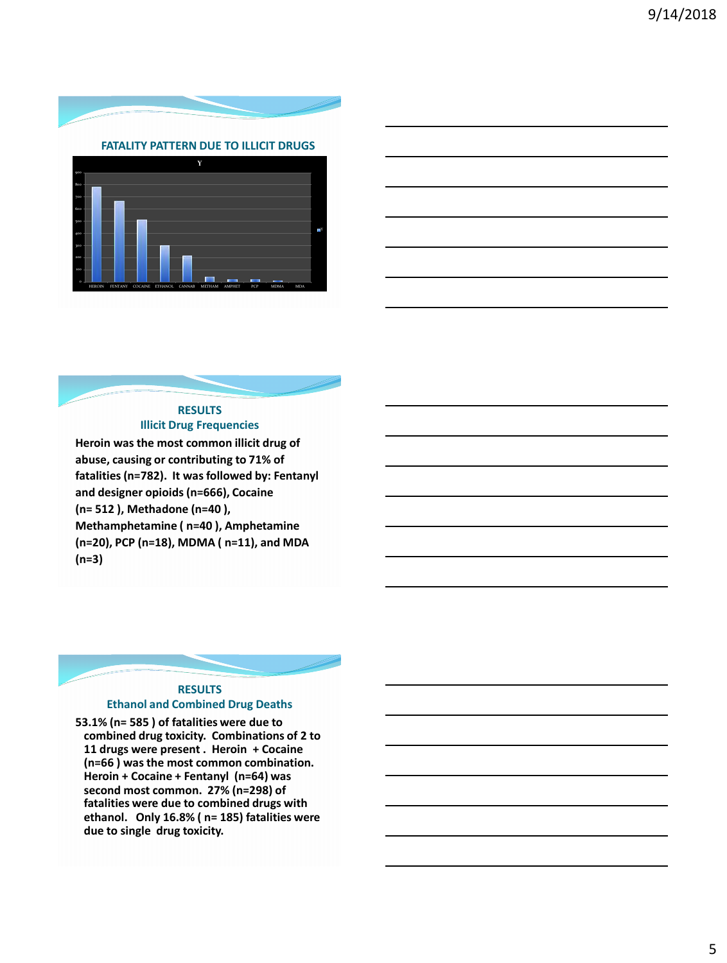



# **RESULTS Illicit Drug Frequencies**

**Heroin was the most common illicit drug of abuse, causing or contributing to 71% of fatalities (n=782). It was followed by: Fentanyl and designer opioids (n=666), Cocaine (n= 512 ), Methadone (n=40 ), Methamphetamine ( n=40 ), Amphetamine (n=20), PCP (n=18), MDMA ( n=11), and MDA (n=3)**



**53.1% (n= 585 ) of fatalities were due to combined drug toxicity. Combinations of 2 to 11 drugs were present . Heroin + Cocaine (n=66 ) was the most common combination. Heroin + Cocaine + Fentanyl (n=64) was second most common. 27% (n=298) of fatalities were due to combined drugs with ethanol. Only 16.8% ( n= 185) fatalities were due to single drug toxicity.**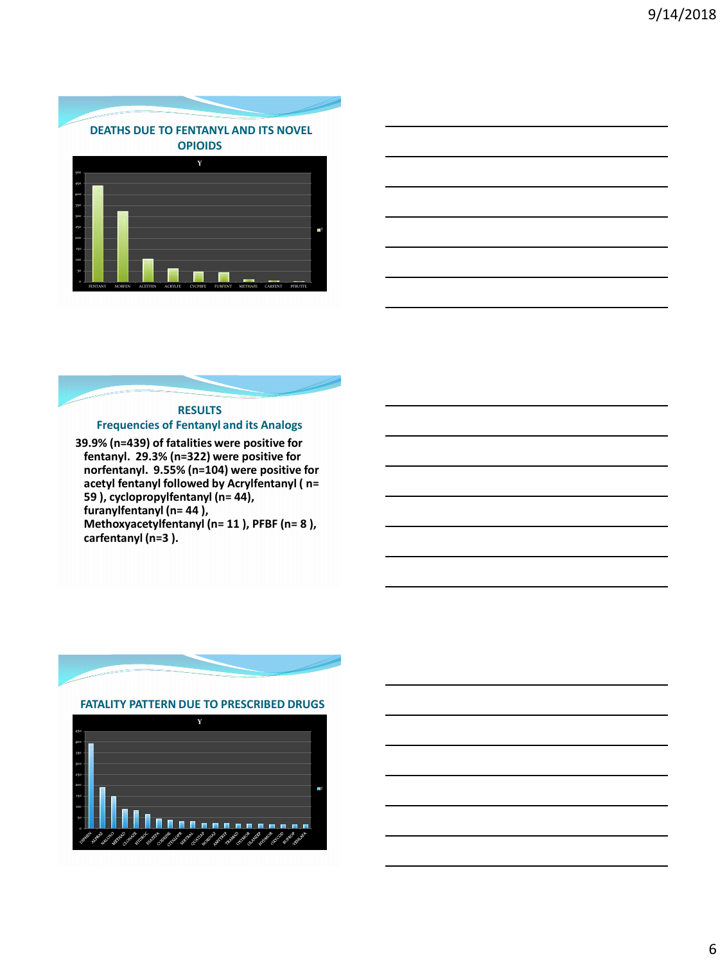



# **RESULTS Frequencies of Fentanyl and its Analogs**

**39.9% (n=439) of fatalities were positive for fentanyl. 29.3% (n=322) were positive for norfentanyl. 9.55% (n=104) were positive for acetyl fentanyl followed by Acrylfentanyl ( n= 59 ), cyclopropylfentanyl (n= 44), furanylfentanyl (n= 44 ), Methoxyacetylfentanyl (n= 11 ), PFBF (n= 8 ), carfentanyl (n=3 ).** 



 **FATALITY PATTERN DUE TO PRESCRIBED DRUGS**

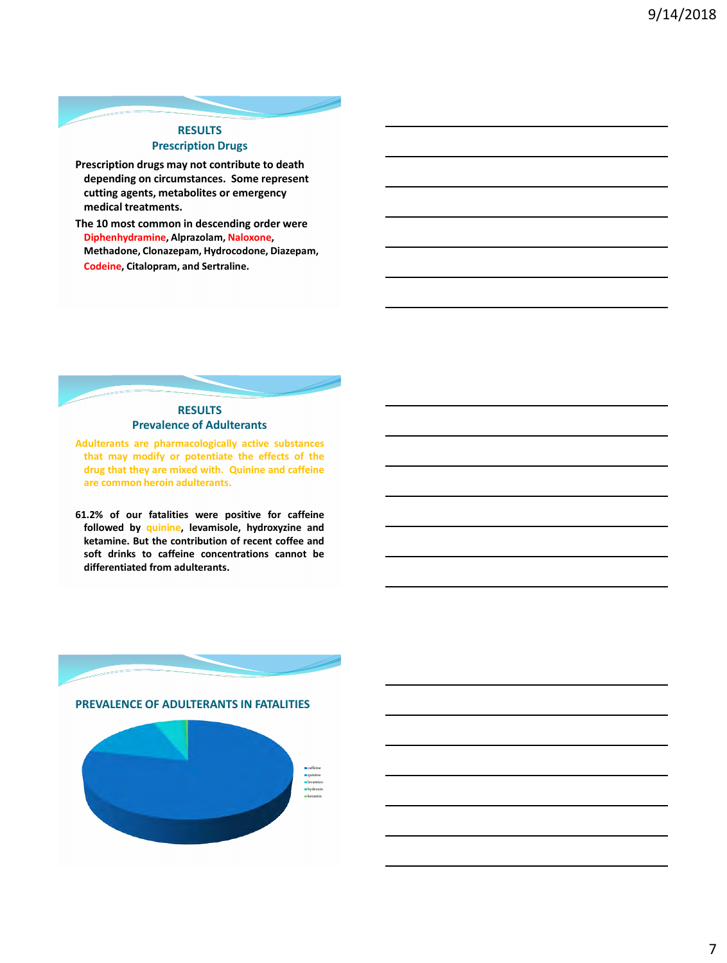# **RESULTS Prescription Drugs**

- **Prescription drugs may not contribute to death depending on circumstances. Some represent cutting agents, metabolites or emergency medical treatments.**
- **The 10 most common in descending order were Diphenhydramine, Alprazolam, Naloxone, Methadone, Clonazepam, Hydrocodone, Diazepam, Codeine, Citalopram, and Sertraline.**

# **RESULTS Prevalence of Adulterants**

**Adulterants are pharmacologically active substances that may modify or potentiate the effects of the drug that they are mixed with. Quinine and caffeine are common heroin adulterants.**

**61.2% of our fatalities were positive for caffeine followed by quinine, levamisole, hydroxyzine and ketamine. But the contribution of recent coffee and soft drinks to caffeine concentrations cannot be differentiated from adulterants.**

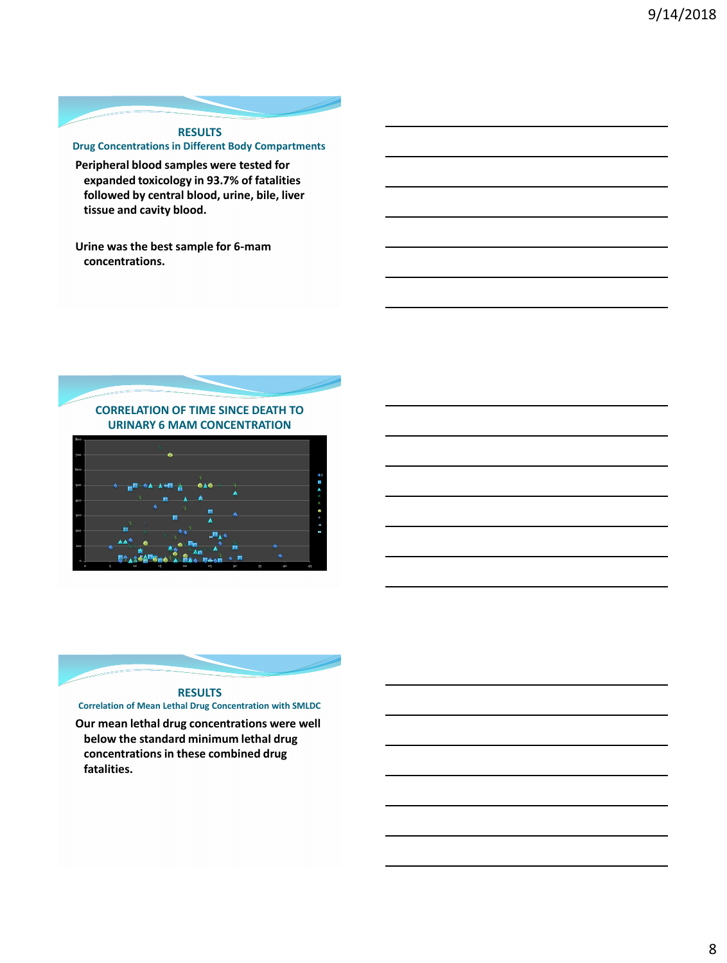

**Peripheral blood samples were tested for expanded toxicology in 93.7% of fatalities followed by central blood, urine, bile, liver tissue and cavity blood.**

**Urine was the best sample for 6-mam concentrations.** 







### **Correlation of Mean Lethal Drug Concentration with SMLDC**

**Our mean lethal drug concentrations were well below the standard minimum lethal drug concentrations in these combined drug fatalities.**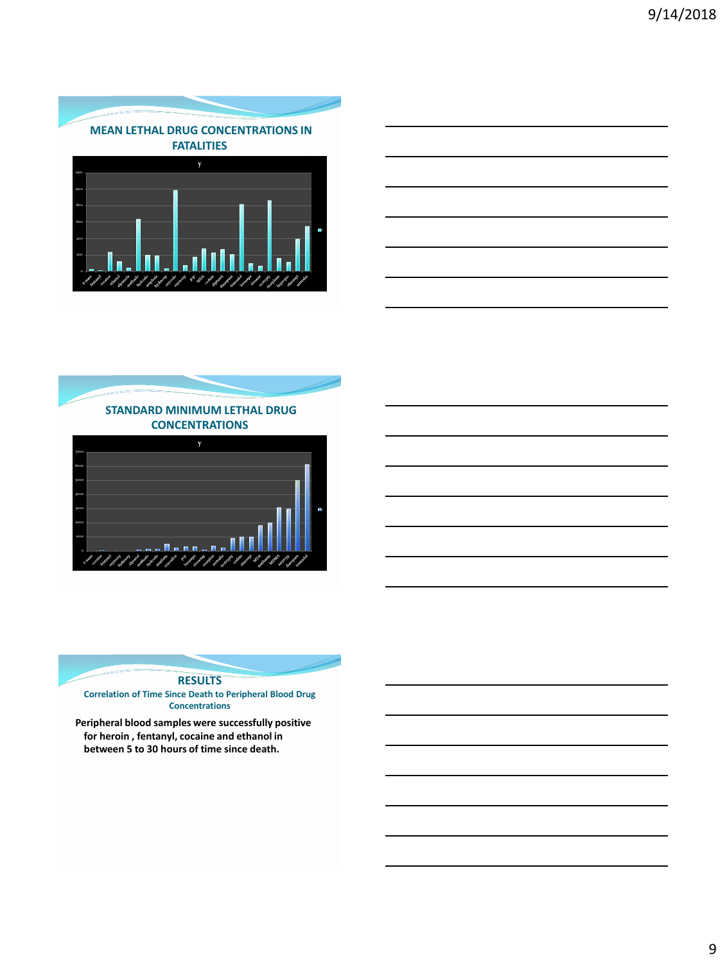







# **RESULTS**

**Correlation of Time Since Death to Peripheral Blood Drug Concentrations**

**Peripheral blood samples were successfully positive for heroin , fentanyl, cocaine and ethanol in between 5 to 30 hours of time since death.**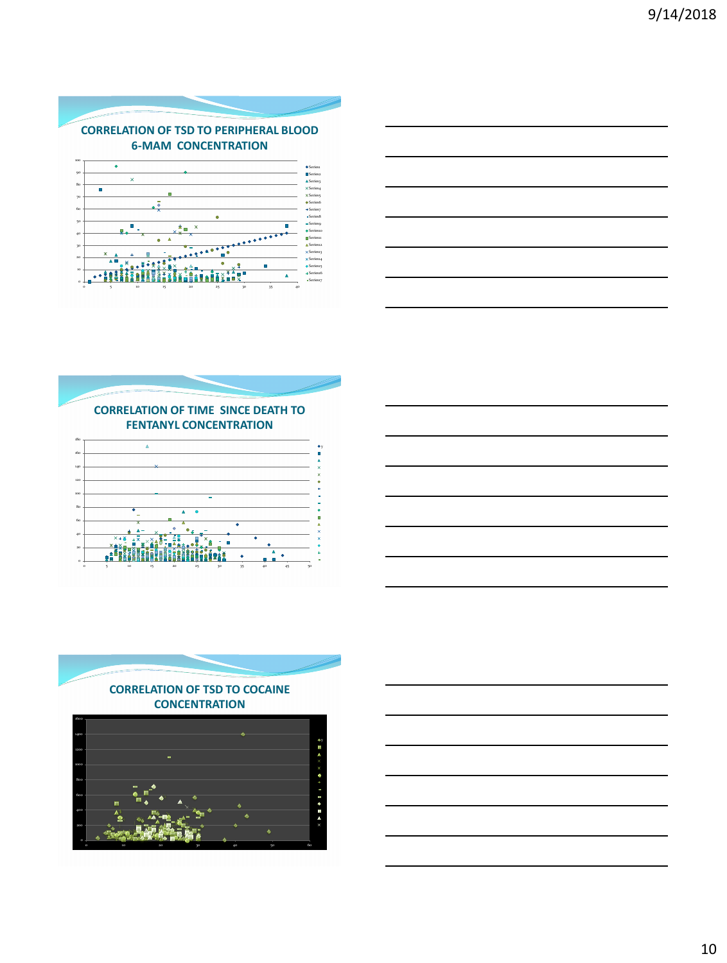











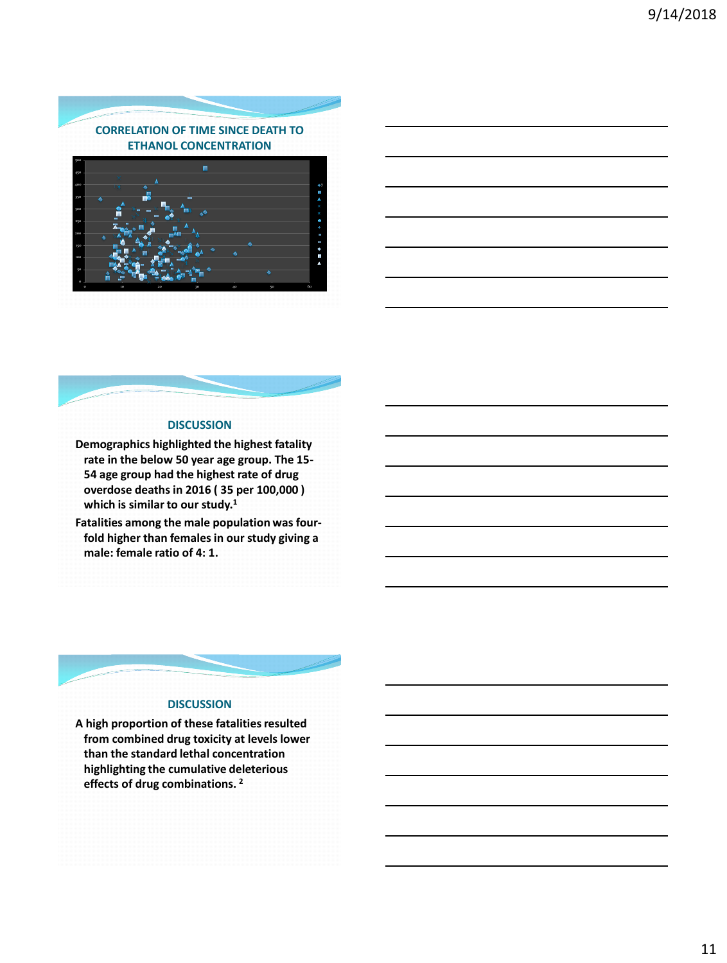

# 0 10 20 30 40 50 60

# **DISCUSSION**

**Demographics highlighted the highest fatality rate in the below 50 year age group. The 15- 54 age group had the highest rate of drug overdose deaths in 2016 ( 35 per 100,000 ) which is similar to our study.<sup>1</sup>**

**Fatalities among the male population was fourfold higher than females in our study giving a male: female ratio of 4: 1.** 



# **DISCUSSION**

**A high proportion of these fatalities resulted from combined drug toxicity at levels lower than the standard lethal concentration highlighting the cumulative deleterious effects of drug combinations. 2**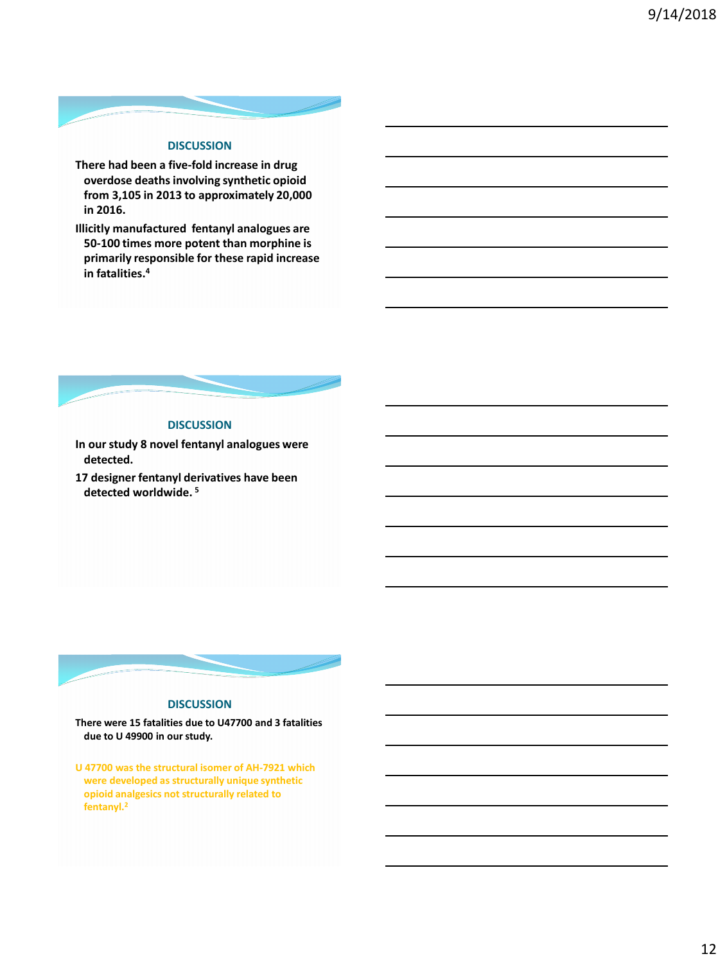

# **DISCUSSION**

- **There had been a five-fold increase in drug overdose deaths involving synthetic opioid from 3,105 in 2013 to approximately 20,000 in 2016.**
- **Illicitly manufactured fentanyl analogues are 50-100 times more potent than morphine is primarily responsible for these rapid increase in fatalities.<sup>4</sup>**



# **DISCUSSION**

- **In our study 8 novel fentanyl analogues were detected.**
- **17 designer fentanyl derivatives have been detected worldwide. <sup>5</sup>**



# **DISCUSSION**

**There were 15 fatalities due to U47700 and 3 fatalities due to U 49900 in our study.**

**U 47700 was the structural isomer of AH-7921 which were developed as structurally unique synthetic opioid analgesics not structurally related to fentanyl.2**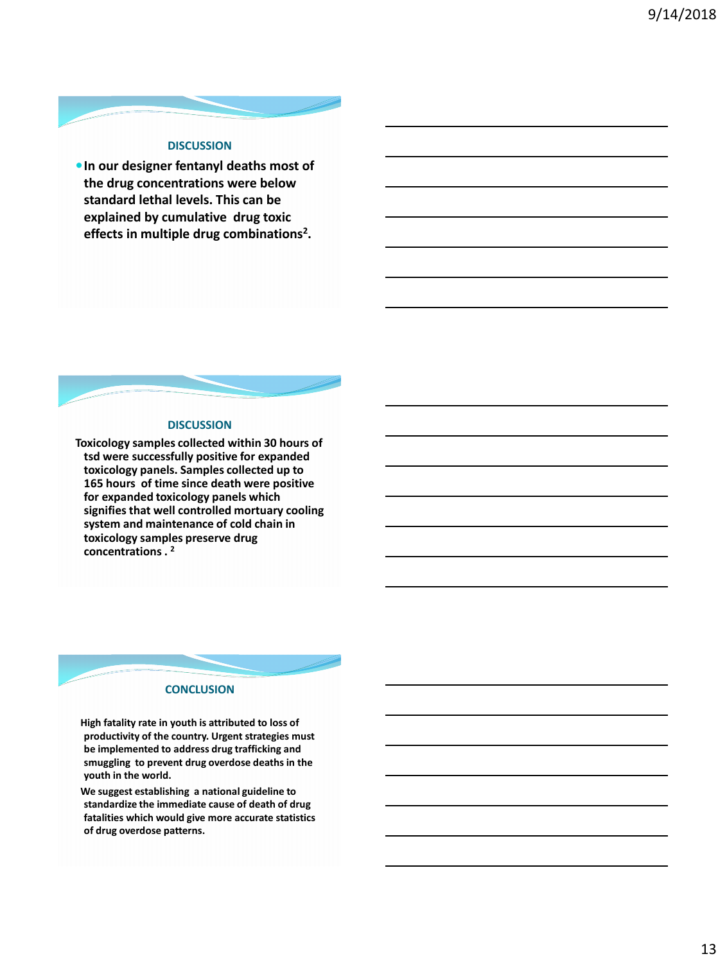

# **DISCUSSION**

**In our designer fentanyl deaths most of the drug concentrations were below standard lethal levels. This can be explained by cumulative drug toxic effects in multiple drug combinations<sup>2</sup> .** 



**Toxicology samples collected within 30 hours of tsd were successfully positive for expanded toxicology panels. Samples collected up to 165 hours of time since death were positive for expanded toxicology panels which signifies that well controlled mortuary cooling system and maintenance of cold chain in toxicology samples preserve drug concentrations . <sup>2</sup>**



 **High fatality rate in youth is attributed to loss of productivity of the country. Urgent strategies must be implemented to address drug trafficking and smuggling to prevent drug overdose deaths in the youth in the world.**

 **We suggest establishing a national guideline to standardize the immediate cause of death of drug fatalities which would give more accurate statistics of drug overdose patterns.**